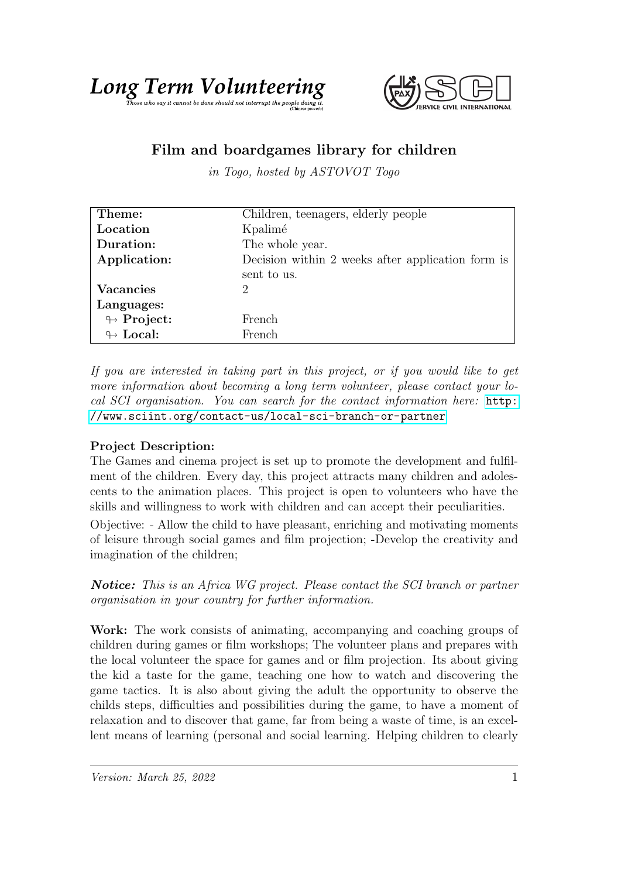



## Film and boardgames library for children

in Togo, hosted by ASTOVOT Togo

| Theme:                     | Children, teenagers, elderly people               |
|----------------------------|---------------------------------------------------|
| Location                   | Kpalimé                                           |
| Duration:                  | The whole year.                                   |
| Application:               | Decision within 2 weeks after application form is |
|                            | sent to us.                                       |
| <b>Vacancies</b>           | $\overline{2}$                                    |
| Languages:                 |                                                   |
| $\looparrowright$ Project: | French                                            |
| $\leftrightarrow$ Local:   | French                                            |

If you are interested in taking part in this project, or if you would like to get more information about becoming a long term volunteer, please contact your local SCI organisation. You can search for the contact information here: [http:](http://www.sciint.org/contact-us/local-sci-branch-or-partner) [//www.sciint.org/contact-us/local-sci-branch-or-partner](http://www.sciint.org/contact-us/local-sci-branch-or-partner)

## Project Description:

The Games and cinema project is set up to promote the development and fulfilment of the children. Every day, this project attracts many children and adolescents to the animation places. This project is open to volunteers who have the skills and willingness to work with children and can accept their peculiarities.

Objective: - Allow the child to have pleasant, enriching and motivating moments of leisure through social games and film projection; -Develop the creativity and imagination of the children;

**Notice:** This is an Africa WG project. Please contact the SCI branch or partner organisation in your country for further information.

Work: The work consists of animating, accompanying and coaching groups of children during games or film workshops; The volunteer plans and prepares with the local volunteer the space for games and or film projection. Its about giving the kid a taste for the game, teaching one how to watch and discovering the game tactics. It is also about giving the adult the opportunity to observe the childs steps, difficulties and possibilities during the game, to have a moment of relaxation and to discover that game, far from being a waste of time, is an excellent means of learning (personal and social learning. Helping children to clearly